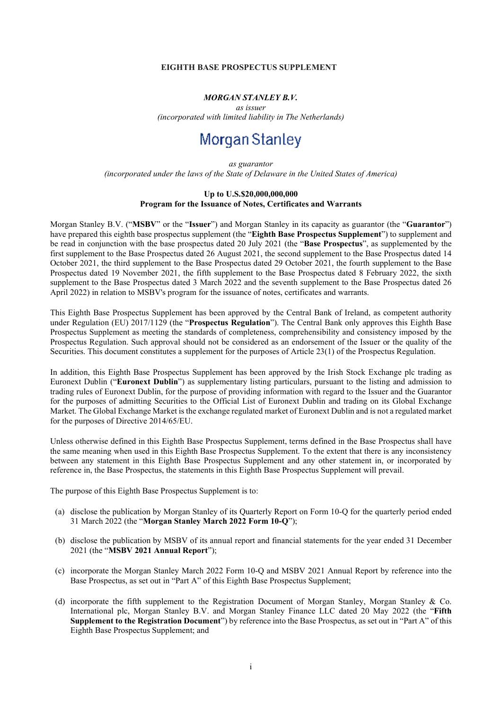#### EIGHTH BASE PROSPECTUS SUPPLEMENT

### MORGAN STANLEY B.V.

as issuer (incorporated with limited liability in The Netherlands)

# Morgan Stanley

as guarantor (incorporated under the laws of the State of Delaware in the United States of America)

#### Up to U.S.\$20,000,000,000 Program for the Issuance of Notes, Certificates and Warrants

Morgan Stanley B.V. ("MSBV" or the "Issuer") and Morgan Stanley in its capacity as guarantor (the "Guarantor") have prepared this eighth base prospectus supplement (the "Eighth Base Prospectus Supplement") to supplement and be read in conjunction with the base prospectus dated 20 July 2021 (the "Base Prospectus", as supplemented by the first supplement to the Base Prospectus dated 26 August 2021, the second supplement to the Base Prospectus dated 14 October 2021, the third supplement to the Base Prospectus dated 29 October 2021, the fourth supplement to the Base Prospectus dated 19 November 2021, the fifth supplement to the Base Prospectus dated 8 February 2022, the sixth supplement to the Base Prospectus dated 3 March 2022 and the seventh supplement to the Base Prospectus dated 26 April 2022) in relation to MSBV's program for the issuance of notes, certificates and warrants.

This Eighth Base Prospectus Supplement has been approved by the Central Bank of Ireland, as competent authority under Regulation (EU) 2017/1129 (the "**Prospectus Regulation**"). The Central Bank only approves this Eighth Base Prospectus Supplement as meeting the standards of completeness, comprehensibility and consistency imposed by the Prospectus Regulation. Such approval should not be considered as an endorsement of the Issuer or the quality of the Securities. This document constitutes a supplement for the purposes of Article 23(1) of the Prospectus Regulation.

In addition, this Eighth Base Prospectus Supplement has been approved by the Irish Stock Exchange plc trading as Euronext Dublin ("Euronext Dublin") as supplementary listing particulars, pursuant to the listing and admission to trading rules of Euronext Dublin, for the purpose of providing information with regard to the Issuer and the Guarantor for the purposes of admitting Securities to the Official List of Euronext Dublin and trading on its Global Exchange Market. The Global Exchange Market is the exchange regulated market of Euronext Dublin and is not a regulated market for the purposes of Directive 2014/65/EU.

Unless otherwise defined in this Eighth Base Prospectus Supplement, terms defined in the Base Prospectus shall have the same meaning when used in this Eighth Base Prospectus Supplement. To the extent that there is any inconsistency between any statement in this Eighth Base Prospectus Supplement and any other statement in, or incorporated by reference in, the Base Prospectus, the statements in this Eighth Base Prospectus Supplement will prevail.

The purpose of this Eighth Base Prospectus Supplement is to:

- (a) disclose the publication by Morgan Stanley of its Quarterly Report on Form 10-Q for the quarterly period ended 31 March 2022 (the "Morgan Stanley March 2022 Form 10-Q");
- (b) disclose the publication by MSBV of its annual report and financial statements for the year ended 31 December 2021 (the "MSBV 2021 Annual Report");
- (c) incorporate the Morgan Stanley March 2022 Form 10-Q and MSBV 2021 Annual Report by reference into the Base Prospectus, as set out in "Part A" of this Eighth Base Prospectus Supplement;
- (d) incorporate the fifth supplement to the Registration Document of Morgan Stanley, Morgan Stanley & Co. International plc, Morgan Stanley B.V. and Morgan Stanley Finance LLC dated 20 May 2022 (the "Fifth Supplement to the Registration Document") by reference into the Base Prospectus, as set out in "Part A" of this Eighth Base Prospectus Supplement; and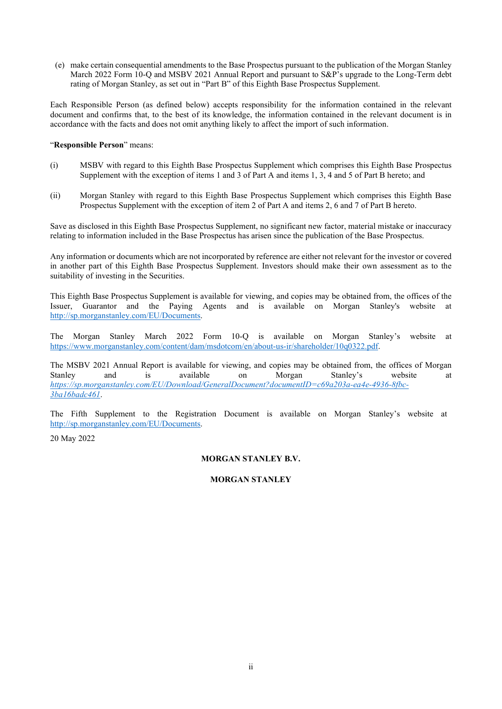(e) make certain consequential amendments to the Base Prospectus pursuant to the publication of the Morgan Stanley March 2022 Form 10-Q and MSBV 2021 Annual Report and pursuant to S&P's upgrade to the Long-Term debt rating of Morgan Stanley, as set out in "Part B" of this Eighth Base Prospectus Supplement.

Each Responsible Person (as defined below) accepts responsibility for the information contained in the relevant document and confirms that, to the best of its knowledge, the information contained in the relevant document is in accordance with the facts and does not omit anything likely to affect the import of such information.

#### "Responsible Person" means:

- (i) MSBV with regard to this Eighth Base Prospectus Supplement which comprises this Eighth Base Prospectus Supplement with the exception of items 1 and 3 of Part A and items 1, 3, 4 and 5 of Part B hereto; and
- (ii) Morgan Stanley with regard to this Eighth Base Prospectus Supplement which comprises this Eighth Base Prospectus Supplement with the exception of item 2 of Part A and items 2, 6 and 7 of Part B hereto.

Save as disclosed in this Eighth Base Prospectus Supplement, no significant new factor, material mistake or inaccuracy relating to information included in the Base Prospectus has arisen since the publication of the Base Prospectus.

Any information or documents which are not incorporated by reference are either not relevant for the investor or covered in another part of this Eighth Base Prospectus Supplement. Investors should make their own assessment as to the suitability of investing in the Securities.

This Eighth Base Prospectus Supplement is available for viewing, and copies may be obtained from, the offices of the Issuer, Guarantor and the Paying Agents and is available on Morgan Stanley's website at http://sp.morganstanley.com/EU/Documents.

The Morgan Stanley March 2022 Form 10-Q is available on Morgan Stanley's website at https://www.morganstanley.com/content/dam/msdotcom/en/about-us-ir/shareholder/10q0322.pdf.

The MSBV 2021 Annual Report is available for viewing, and copies may be obtained from, the offices of Morgan Stanley and is available on Morgan Stanley's website at https://sp.morganstanley.com/EU/Download/GeneralDocument?documentID=c69a203a-ea4e-4936-8fbc-3ba16badc461.

The Fifth Supplement to the Registration Document is available on Morgan Stanley's website at http://sp.morganstanley.com/EU/Documents.

20 May 2022

#### MORGAN STANLEY B.V.

#### MORGAN STANLEY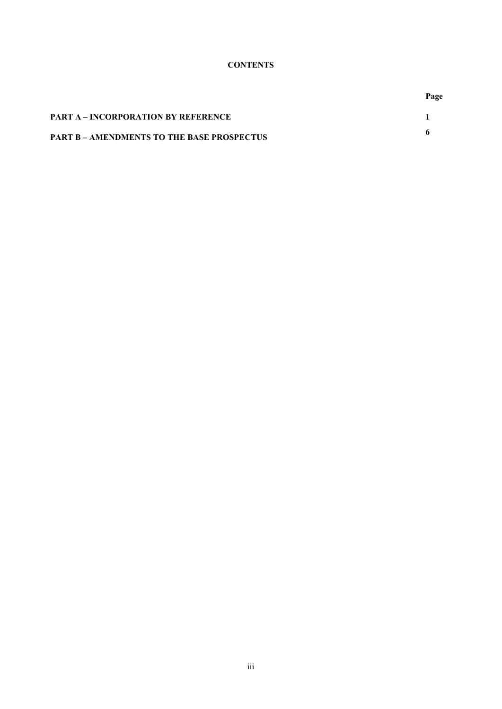## **CONTENTS**

|                                                 | Page |
|-------------------------------------------------|------|
| <b>PART A – INCORPORATION BY REFERENCE</b>      |      |
| <b>PART B-AMENDMENTS TO THE BASE PROSPECTUS</b> |      |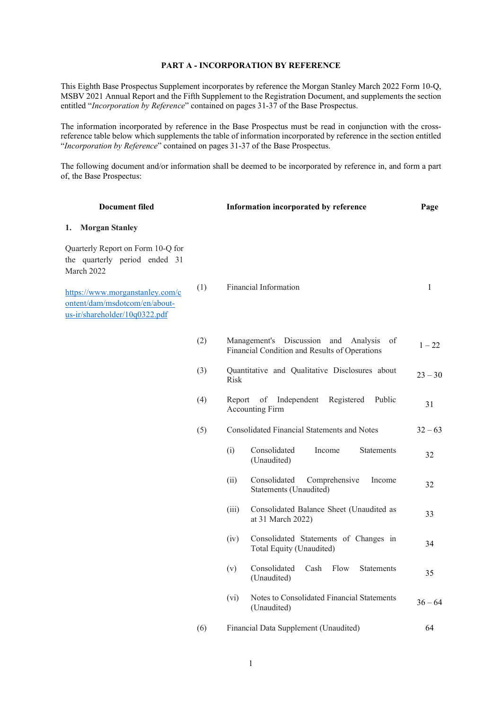#### PART A - INCORPORATION BY REFERENCE

This Eighth Base Prospectus Supplement incorporates by reference the Morgan Stanley March 2022 Form 10-Q, MSBV 2021 Annual Report and the Fifth Supplement to the Registration Document, and supplements the section entitled "Incorporation by Reference" contained on pages 31-37 of the Base Prospectus.

The information incorporated by reference in the Base Prospectus must be read in conjunction with the crossreference table below which supplements the table of information incorporated by reference in the section entitled "Incorporation by Reference" contained on pages 31-37 of the Base Prospectus.

The following document and/or information shall be deemed to be incorporated by reference in, and form a part of, the Base Prospectus:

| <b>Document filed</b>                                                                             |     | Information incorporated by reference                                                       | Page         |
|---------------------------------------------------------------------------------------------------|-----|---------------------------------------------------------------------------------------------|--------------|
| <b>Morgan Stanley</b><br>1.                                                                       |     |                                                                                             |              |
| Quarterly Report on Form 10-Q for<br>the quarterly period ended 31<br>March 2022                  |     |                                                                                             |              |
| https://www.morganstanley.com/c<br>ontent/dam/msdotcom/en/about-<br>us-ir/shareholder/10q0322.pdf | (1) | Financial Information                                                                       | $\mathbf{1}$ |
|                                                                                                   | (2) | Management's Discussion and Analysis<br>of<br>Financial Condition and Results of Operations | $1 - 22$     |
|                                                                                                   | (3) | Quantitative and Qualitative Disclosures about<br><b>Risk</b>                               | $23 - 30$    |
|                                                                                                   | (4) | $\sigma f$<br>Registered<br>Report<br>Independent<br>Public<br><b>Accounting Firm</b>       | 31           |
|                                                                                                   | (5) | <b>Consolidated Financial Statements and Notes</b>                                          | $32 - 63$    |
|                                                                                                   |     | (i)<br>Consolidated<br>Income<br><b>Statements</b><br>(Unaudited)                           | 32           |
|                                                                                                   |     | (ii)<br>Consolidated<br>Comprehensive<br>Income<br>Statements (Unaudited)                   | 32           |
|                                                                                                   |     | (iii)<br>Consolidated Balance Sheet (Unaudited as<br>at 31 March 2022)                      | 33           |
|                                                                                                   |     | Consolidated Statements of Changes in<br>(iv)<br>Total Equity (Unaudited)                   | 34           |
|                                                                                                   |     | Consolidated<br>Cash<br>Flow<br>(v)<br><b>Statements</b><br>(Unaudited)                     | 35           |
|                                                                                                   |     | Notes to Consolidated Financial Statements<br>(vi)<br>(Unaudited)                           | $36 - 64$    |
|                                                                                                   | (6) | Financial Data Supplement (Unaudited)                                                       | 64           |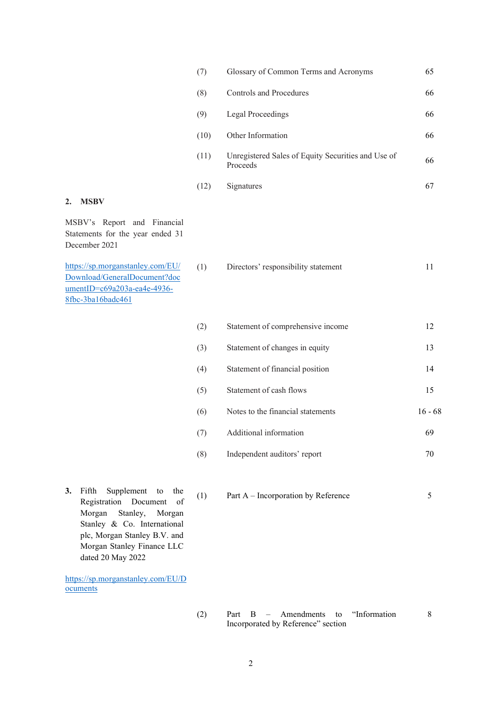| (7)  | Glossary of Common Terms and Acronyms                          | 65 |
|------|----------------------------------------------------------------|----|
| (8)  | Controls and Procedures                                        | 66 |
| (9)  | Legal Proceedings                                              | 66 |
| (10) | Other Information                                              | 66 |
| (11) | Unregistered Sales of Equity Securities and Use of<br>Proceeds | 66 |
| (12) | Signatures                                                     | 67 |

## 2. MSBV

MSBV's Report and Financial Statements for the year ended 31 December 2021

https://sp.morganstanley.com/EU/ Download/GeneralDocument?doc umentID=c69a203a-ea4e-4936- 8fbc-3ba16badc461

(1) Directors' responsibility statement 11

| (2) | Statement of comprehensive income | 12        |
|-----|-----------------------------------|-----------|
| (3) | Statement of changes in equity    | 13        |
| (4) | Statement of financial position   | 14        |
| (5) | Statement of cash flows           | 15        |
| (6) | Notes to the financial statements | $16 - 68$ |
| (7) | Additional information            | 69        |
| (8) | Independent auditors' report      | 70        |

3. Fifth Supplement to the Registration Document of Morgan Stanley, Morgan Stanley & Co. International plc, Morgan Stanley B.V. and Morgan Stanley Finance LLC dated 20 May 2022

https://sp.morganstanley.com/EU/D ocuments

(1) Part A – Incorporation by Reference 5

(2) Part B – Amendments to "Information Incorporated by Reference" section 8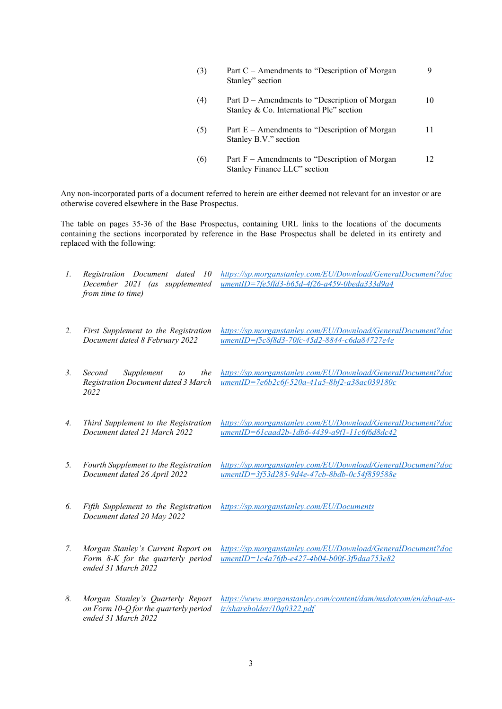| (3) | Part C – Amendments to "Description of Morgan<br>Stanley" section                          |    |
|-----|--------------------------------------------------------------------------------------------|----|
| (4) | Part D – Amendments to "Description of Morgan"<br>Stanley & Co. International Plc" section | 10 |
| (5) | Part E – Amendments to "Description of Morgan<br>Stanley B.V." section                     | 11 |
| (6) | Part F – Amendments to "Description of Morgan<br>Stanley Finance LLC" section              | 12 |

Any non-incorporated parts of a document referred to herein are either deemed not relevant for an investor or are otherwise covered elsewhere in the Base Prospectus.

The table on pages 35-36 of the Base Prospectus, containing URL links to the locations of the documents containing the sections incorporated by reference in the Base Prospectus shall be deleted in its entirety and replaced with the following:

| $\mathcal{I}$ . | Registration Document dated 10<br>December 2021 (as supplemented<br>from time to time)            | https://sp.morganstanley.com/EU/Download/GeneralDocument?doc<br>$umentID = 7fe5ffd3-b65d-4f26-a459-0beda333d9a4$ |
|-----------------|---------------------------------------------------------------------------------------------------|------------------------------------------------------------------------------------------------------------------|
| 2.              | First Supplement to the Registration<br>Document dated 8 February 2022                            | https://sp.morganstanley.com/EU/Download/GeneralDocument?doc<br>umentID=f5c8f8d3-70fc-45d2-8844-c6da84727e4e     |
| 3.              | Second<br>Supplement<br>the<br>to<br><b>Registration Document dated 3 March</b><br>2022           | https://sp.morganstanley.com/EU/Download/GeneralDocument?doc<br>umentID=7e6b2c6f-520a-41a5-8bf2-a38ac039180c     |
| 4.              | Third Supplement to the Registration<br>Document dated 21 March 2022                              | https://sp.morganstanley.com/EU/Download/GeneralDocument?doc<br>$umentID = 61caad2b-1db6-4439-a9f1-11cbf6d8dc42$ |
| 5.              | Fourth Supplement to the Registration<br>Document dated 26 April 2022                             | https://sp.morganstanley.com/EU/Download/GeneralDocument?doc<br>umentID=3f53d285-9d4e-47cb-8bdb-0c54f859588e     |
| 6.              | Fifth Supplement to the Registration<br>Document dated 20 May 2022                                | https://sp.morganstanley.com/EU/Documents                                                                        |
| 7.              | Morgan Stanley's Current Report on<br>Form 8-K for the quarterly period<br>ended 31 March 2022    | https://sp.morganstanley.com/EU/Download/GeneralDocument?doc<br>umentID=1c4a76fb-e427-4b04-b00f-3f9daa753e82     |
| 8.              | Morgan Stanley's Quarterly Report<br>on Form 10-Q for the quarterly period<br>ended 31 March 2022 | https://www.morganstanley.com/content/dam/msdotcom/en/about-us-<br>ir/shareholder/10q0322.pdf                    |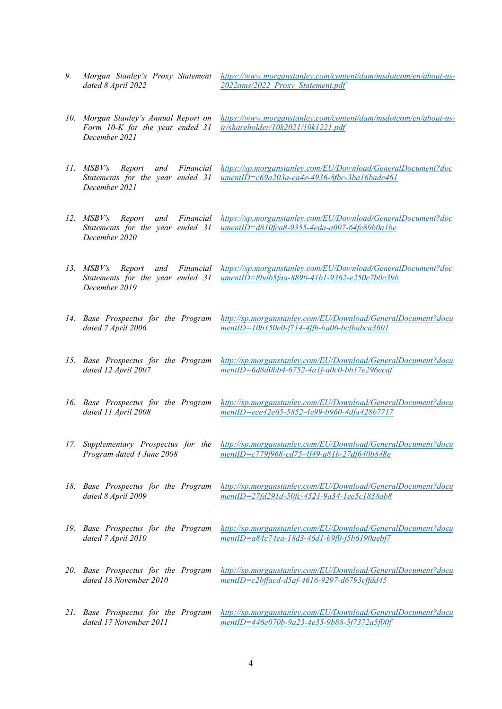9. Morgan Stanley's Proxy Statement dated 8 April 2022

https://www.morganstanley.com/content/dam/msdotcom/en/about-us-2022ams/2022\_Proxy\_Statement.pdf

http://sp.morganstanley.com/EU/Download/GeneralDocument?docu

mentID=ece42e65-5852-4e99-b960-4dfa428b7717

- 10. Morgan Stanley's Annual Report on Form 10-K for the year ended 31 December 2021 https://www.morganstanley.com/content/dam/msdotcom/en/about-usir/shareholder/10k2021/10k1221.pdf
- 11. MSBV's Report and Financial Statements for the year ended 31 December 2021 https://sp.morganstanley.com/EU/Download/GeneralDocument?doc umentID=c69a203a-ea4e-4936-8fbc-3ba16badc461
- 12. MSBV's Report and Financial Statements for the year ended 31 December 2020 https://sp.morganstanley.com/EU/Download/GeneralDocument?doc umentID=d810fca8-9355-4eda-a007-64fc89b0a1be
- 13. MSBV's Report and Financial Statements for the year ended 31 December 2019 https://sp.morganstanley.com/EU/Download/GeneralDocument?doc umentID=8bdb5faa-8890-41b1-9362-e250e7b0c39b
- 14. Base Prospectus for the Program dated 7 April 2006 http://sp.morganstanley.com/EU/Download/GeneralDocument?docu mentID=10b150e0-f714-4ffb-ba06-bcfbabca3601
- 15. Base Prospectus for the Program dated 12 April 2007 http://sp.morganstanley.com/EU/Download/GeneralDocument?docu mentID=6d8d0bb4-6752-4a1f-a0c0-bb17e296ecaf
- 16. Base Prospectus for the Program dated 11 April 2008
- 17. Supplementary Prospectus for the Program dated 4 June 2008 http://sp.morganstanley.com/EU/Download/GeneralDocument?docu mentID=c779f968-cd75-4f49-a81b-27df640b848e
- 18. Base Prospectus for the Program dated 8 April 2009 http://sp.morganstanley.com/EU/Download/GeneralDocument?docu mentID=27fd291d-50fc-4521-9a34-1ee5c1838ab8
- 19. Base Prospectus for the Program dated 7 April 2010 http://sp.morganstanley.com/EU/Download/GeneralDocument?docu mentID=a84c74ea-18d3-46d1-b9f0-f5b6190aebf7
- 20. Base Prospectus for the Program dated 18 November 2010 http://sp.morganstanley.com/EU/Download/GeneralDocument?docu mentID=c2bffacd-d5af-4616-9297-d6793cffdd45
- 21. Base Prospectus for the Program dated 17 November 2011 http://sp.morganstanley.com/EU/Download/GeneralDocument?docu mentID=446e070b-9a23-4e35-9b88-5f7372a5f00f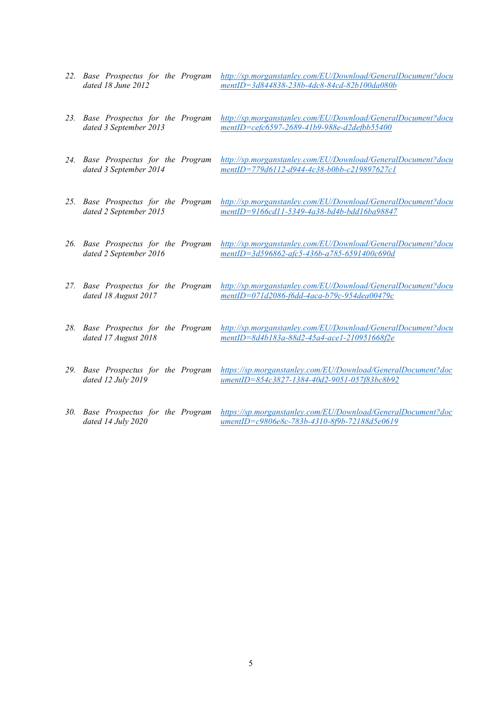| 22. Base Prospectus for the Program<br>dated 18 June 2012     | http://sp.morganstanley.com/EU/Download/GeneralDocument?docu<br>mentID=3d844838-238b-4dc8-84cd-82b100da080b     |
|---------------------------------------------------------------|-----------------------------------------------------------------------------------------------------------------|
| 23. Base Prospectus for the Program<br>dated 3 September 2013 | http://sp.morganstanley.com/EU/Download/GeneralDocument?docu<br>mentID=cefc6597-2689-41b9-988e-d2defbb55400     |
| 24. Base Prospectus for the Program<br>dated 3 September 2014 | http://sp.morganstanley.com/EU/Download/GeneralDocument?docu<br>mentID=779d6112-d944-4c38-b0bb-c219897627c1     |
| 25. Base Prospectus for the Program<br>dated 2 September 2015 | http://sp.morganstanley.com/EU/Download/GeneralDocument?docu<br>mentID=9166cd11-5349-4a38-bd4b-bdd16ba98847     |
| 26. Base Prospectus for the Program<br>dated 2 September 2016 | http://sp.morganstanley.com/EU/Download/GeneralDocument?docu<br>mentID=3d596862-afc5-436b-a785-6591400c690d     |
| 27. Base Prospectus for the Program<br>dated 18 August 2017   | http://sp.morganstanley.com/EU/Download/GeneralDocument?docu<br>$mentID = 071d2086-f6dd-4aca-b79c-954dea00479c$ |
| 28. Base Prospectus for the Program<br>dated 17 August 2018   | http://sp.morganstanley.com/EU/Download/GeneralDocument?docu<br>mentID=8d4b183a-88d2-45a4-ace1-210951668f2e     |
| 29. Base Prospectus for the Program<br>dated 12 July 2019     | https://sp.morganstanley.com/EU/Download/GeneralDocument?doc<br>umentID=854c3827-1384-40d2-9051-057f83bc8b92    |
| 30. Base Prospectus for the Program                           | https://sp.morganstanley.com/EU/Download/GeneralDocument?doc                                                    |

umentID=c9806e8c-783b-4310-8f9b-72188d5e0619

dated 14 July 2020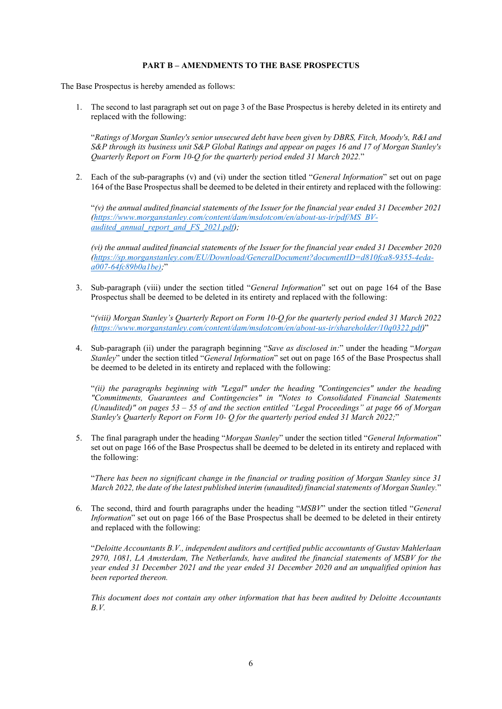#### PART B – AMENDMENTS TO THE BASE PROSPECTUS

The Base Prospectus is hereby amended as follows:

1. The second to last paragraph set out on page 3 of the Base Prospectus is hereby deleted in its entirety and replaced with the following:

"Ratings of Morgan Stanley's senior unsecured debt have been given by DBRS, Fitch, Moody's, R&I and S&P through its business unit S&P Global Ratings and appear on pages 16 and 17 of Morgan Stanley's Quarterly Report on Form 10-Q for the quarterly period ended 31 March 2022."

2. Each of the sub-paragraphs (v) and (vi) under the section titled "General Information" set out on page 164 of the Base Prospectus shall be deemed to be deleted in their entirety and replaced with the following:

"(v) the annual audited financial statements of the Issuer for the financial year ended 31 December 2021 (https://www.morganstanley.com/content/dam/msdotcom/en/about-us-ir/pdf/MS\_BVaudited annual report and FS  $2021.pdf$ ;

(vi) the annual audited financial statements of the Issuer for the financial year ended 31 December 2020 (https://sp.morganstanley.com/EU/Download/GeneralDocument?documentID=d810fca8-9355-4eda $a007 - 64fc89b0a1be$ ;"

3. Sub-paragraph (viii) under the section titled "General Information" set out on page 164 of the Base Prospectus shall be deemed to be deleted in its entirety and replaced with the following:

"(viii) Morgan Stanley's Quarterly Report on Form 10-Q for the quarterly period ended 31 March 2022 (https://www.morganstanley.com/content/dam/msdotcom/en/about-us-ir/shareholder/10q0322.pdf)"

4. Sub-paragraph (ii) under the paragraph beginning "Save as disclosed in:" under the heading "Morgan Stanley" under the section titled "General Information" set out on page 165 of the Base Prospectus shall be deemed to be deleted in its entirety and replaced with the following:

"(ii) the paragraphs beginning with "Legal" under the heading "Contingencies" under the heading "Commitments, Guarantees and Contingencies" in "Notes to Consolidated Financial Statements (Unaudited)" on pages 53 – 55 of and the section entitled "Legal Proceedings" at page 66 of Morgan Stanley's Quarterly Report on Form 10- O for the quarterly period ended 31 March 2022;"

5. The final paragraph under the heading "Morgan Stanley" under the section titled "General Information" set out on page 166 of the Base Prospectus shall be deemed to be deleted in its entirety and replaced with the following:

"There has been no significant change in the financial or trading position of Morgan Stanley since 31 March 2022, the date of the latest published interim (unaudited) financial statements of Morgan Stanley."

6. The second, third and fourth paragraphs under the heading " $MSBV$ " under the section titled "General" Information" set out on page 166 of the Base Prospectus shall be deemed to be deleted in their entirety and replaced with the following:

"Deloitte Accountants B.V., independent auditors and certified public accountants of Gustav Mahlerlaan 2970, 1081, LA Amsterdam, The Netherlands, have audited the financial statements of MSBV for the year ended 31 December 2021 and the year ended 31 December 2020 and an unqualified opinion has been reported thereon.

This document does not contain any other information that has been audited by Deloitte Accountants  $B.V.$